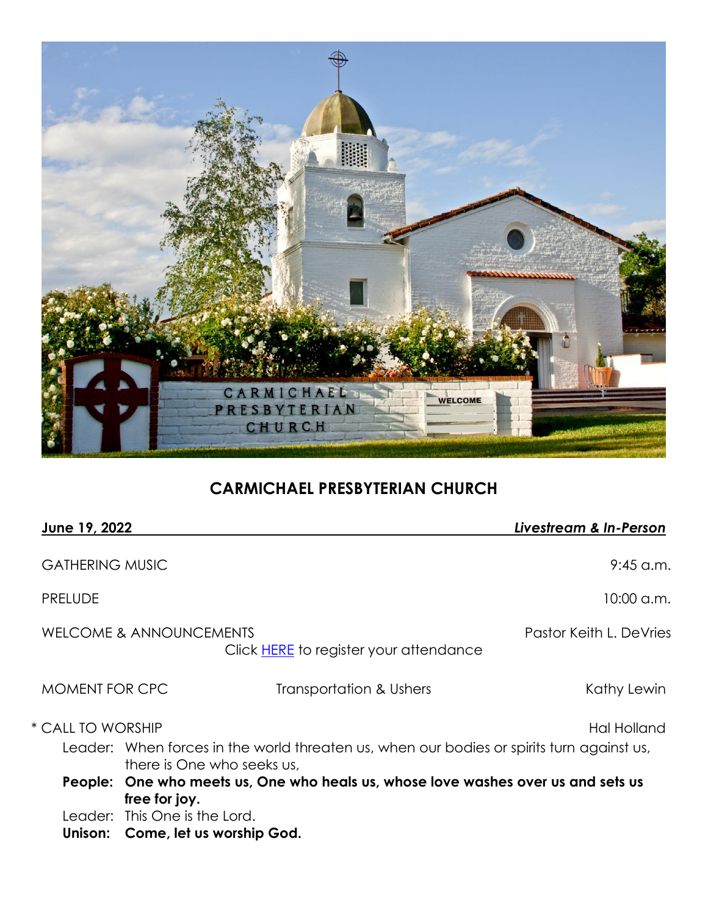

# **CARMICHAEL PRESBYTERIAN CHURCH**

| June 19, 2022          |                                                                                                                         |                                               | Livestream & In-Person  |
|------------------------|-------------------------------------------------------------------------------------------------------------------------|-----------------------------------------------|-------------------------|
| <b>GATHERING MUSIC</b> |                                                                                                                         |                                               | $9:45$ a.m.             |
| <b>PRELUDE</b>         |                                                                                                                         |                                               | $10:00$ a.m.            |
|                        | WELCOME & ANNOUNCEMENTS                                                                                                 | Click <b>HERE</b> to register your attendance | Pastor Keith L. DeVries |
| <b>MOMENT FOR CPC</b>  |                                                                                                                         | Transportation & Ushers                       | Kathy Lewin             |
| * CALL TO WORSHIP      |                                                                                                                         |                                               | Hal Holland             |
|                        | Leader: When forces in the world threaten us, when our bodies or spirits turn against us,<br>there is One who seeks us, |                                               |                         |
|                        | People: One who meets us, One who heals us, whose love washes over us and sets us<br>free for joy.                      |                                               |                         |
|                        | Leader: This One is the Lord.                                                                                           |                                               |                         |
| Unison:                | Come, let us worship God.                                                                                               |                                               |                         |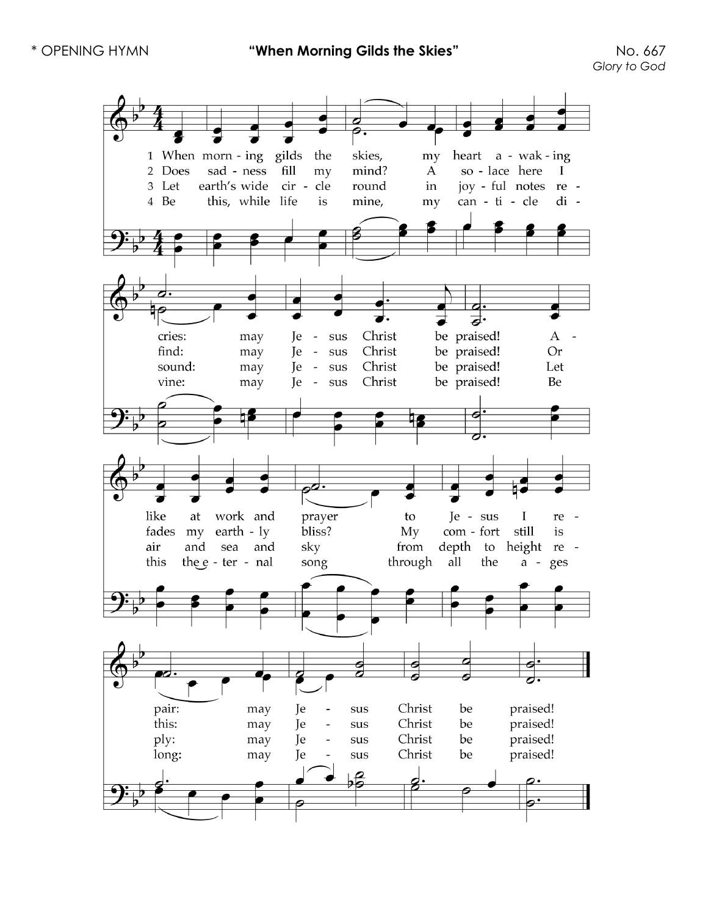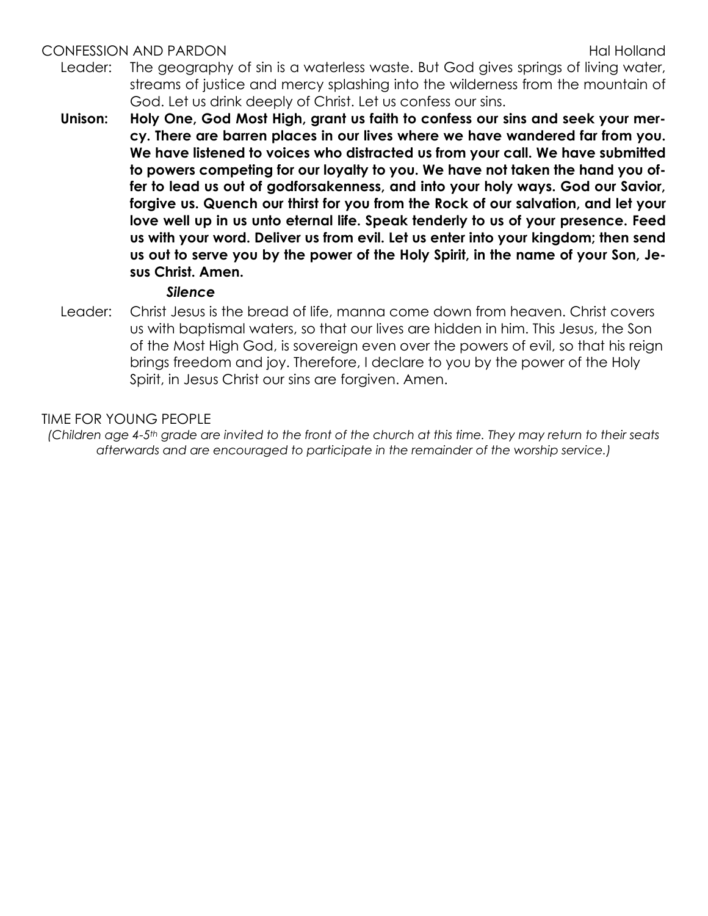#### CONFESSION AND PARDON **Example 20 and 20 and 20 and 20 and 20 and 20 and 20 and 20 and 20 and 20 and 20 and 20 and 20 and 20 and 20 and 20 and 20 and 20 and 20 and 20 and 20 and 20 and 20 and 20 and 20 and 20 and 20 and 20**

- Leader: The geography of sin is a waterless waste. But God gives springs of living water, streams of justice and mercy splashing into the wilderness from the mountain of God. Let us drink deeply of Christ. Let us confess our sins.
- **Unison: Holy One, God Most High, grant us faith to confess our sins and seek your mercy. There are barren places in our lives where we have wandered far from you. We have listened to voices who distracted us from your call. We have submitted to powers competing for our loyalty to you. We have not taken the hand you offer to lead us out of godforsakenness, and into your holy ways. God our Savior, forgive us. Quench our thirst for you from the Rock of our salvation, and let your love well up in us unto eternal life. Speak tenderly to us of your presence. Feed us with your word. Deliver us from evil. Let us enter into your kingdom; then send us out to serve you by the power of the Holy Spirit, in the name of your Son, Jesus Christ. Amen.**

#### *Silence*

Leader: Christ Jesus is the bread of life, manna come down from heaven. Christ covers us with baptismal waters, so that our lives are hidden in him. This Jesus, the Son of the Most High God, is sovereign even over the powers of evil, so that his reign brings freedom and joy. Therefore, I declare to you by the power of the Holy Spirit, in Jesus Christ our sins are forgiven. Amen.

#### TIME FOR YOUNG PEOPLE

*(Children age 4-5th grade are invited to the front of the church at this time. They may return to their seats afterwards and are encouraged to participate in the remainder of the worship service.)*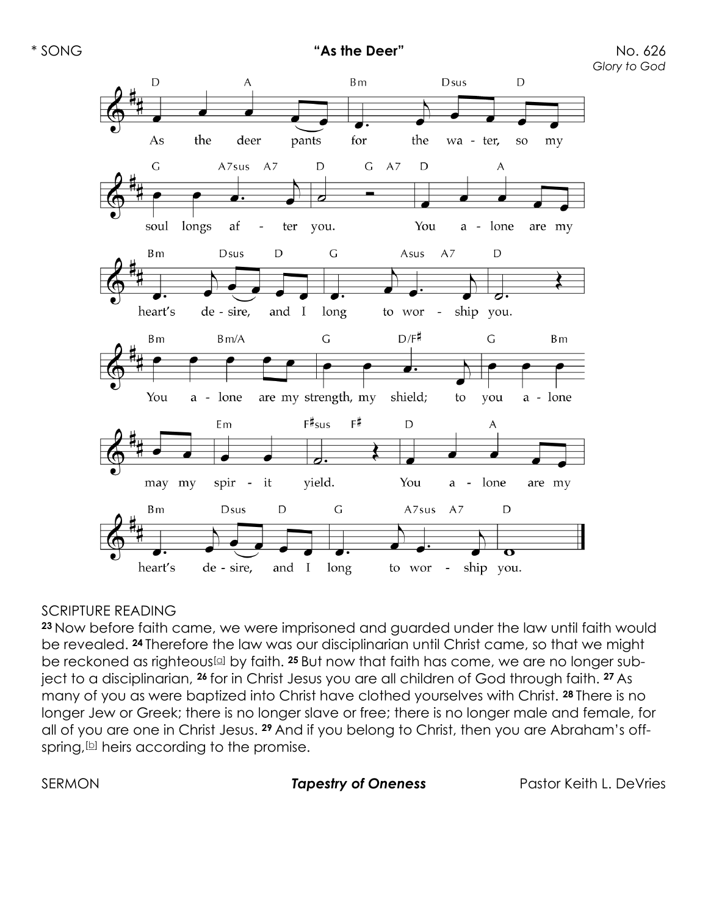

#### **SCRIPTURE READING**

**<sup>23</sup>** Now before faith came, we were imprisoned and guarded under the law until faith would be revealed. **<sup>24</sup>** Therefore the law was our disciplinarian until Christ came, so that we might be reckoned as righteous[\[a\]](https://www.biblegateway.com/passage/?search=Galatians%203%3A23-29&version=NRSVUE#fen-NRSVUE-29110a) by faith. **<sup>25</sup>** But now that faith has come, we are no longer subject to a disciplinarian, **<sup>26</sup>** for in Christ Jesus you are all children of God through faith. **<sup>27</sup>** As many of you as were baptized into Christ have clothed yourselves with Christ. **<sup>28</sup>** There is no longer Jew or Greek; there is no longer slave or free; there is no longer male and female, for all of you are one in Christ Jesus. **<sup>29</sup>** And if you belong to Christ, then you are Abraham's offspring,  $[6]$  heirs according to the promise.

SERMON *Tapestry of Oneness* Pastor Keith L. DeVries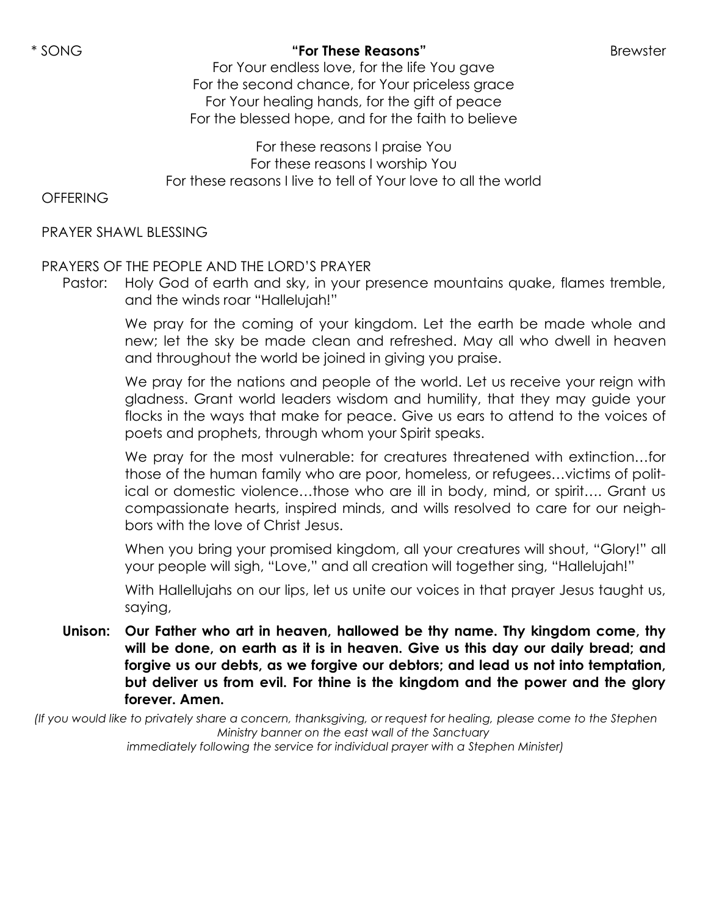## \* SONG **"For These Reasons"** Brewster

For Your endless love, for the life You gave For the second chance, for Your priceless grace For Your healing hands, for the gift of peace For the blessed hope, and for the faith to believe

For these reasons I praise You For these reasons I worship You For these reasons I live to tell of Your love to all the world

**OFFERING** 

PRAYER SHAWL BLESSING

# PRAYERS OF THE PEOPLE AND THE LORD'S PRAYER

Pastor: Holy God of earth and sky, in your presence mountains quake, flames tremble, and the winds roar "Hallelujah!"

> We pray for the coming of your kingdom. Let the earth be made whole and new; let the sky be made clean and refreshed. May all who dwell in heaven and throughout the world be joined in giving you praise.

> We pray for the nations and people of the world. Let us receive your reign with gladness. Grant world leaders wisdom and humility, that they may guide your flocks in the ways that make for peace. Give us ears to attend to the voices of poets and prophets, through whom your Spirit speaks.

> We pray for the most vulnerable: for creatures threatened with extinction…for those of the human family who are poor, homeless, or refugees…victims of political or domestic violence…those who are ill in body, mind, or spirit…. Grant us compassionate hearts, inspired minds, and wills resolved to care for our neighbors with the love of Christ Jesus.

> When you bring your promised kingdom, all your creatures will shout, "Glory!" all your people will sigh, "Love," and all creation will together sing, "Hallelujah!"

> With Hallellujahs on our lips, let us unite our voices in that prayer Jesus taught us, saying,

**Unison: Our Father who art in heaven, hallowed be thy name. Thy kingdom come, thy will be done, on earth as it is in heaven. Give us this day our daily bread; and forgive us our debts, as we forgive our debtors; and lead us not into temptation, but deliver us from evil. For thine is the kingdom and the power and the glory forever. Amen.**

*(If you would like to privately share a concern, thanksgiving, or request for healing, please come to the Stephen Ministry banner on the east wall of the Sanctuary immediately following the service for individual prayer with a Stephen Minister)*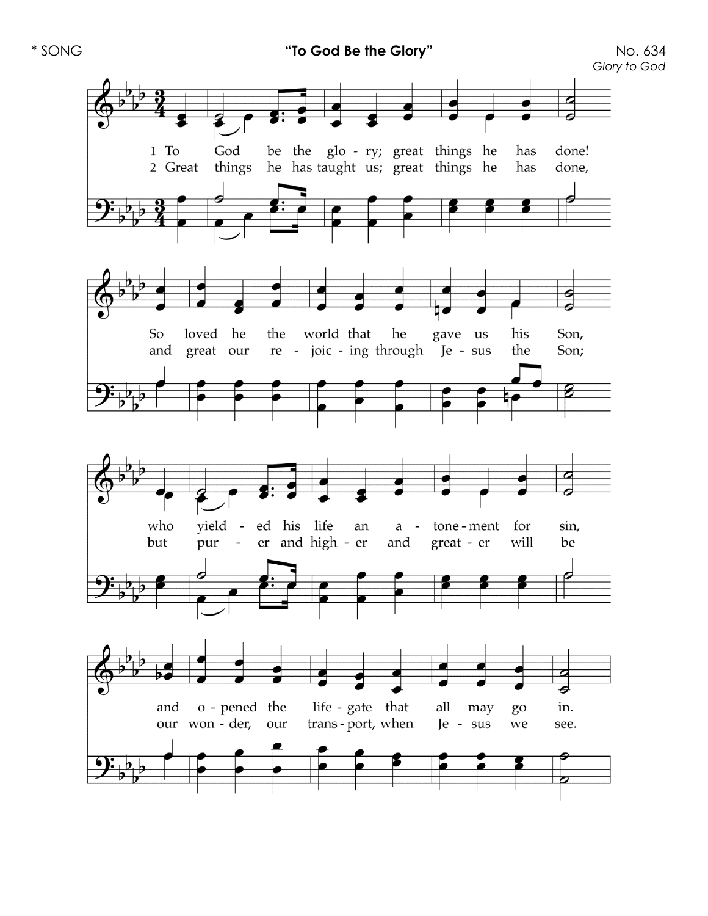**"To God Be the Glory**